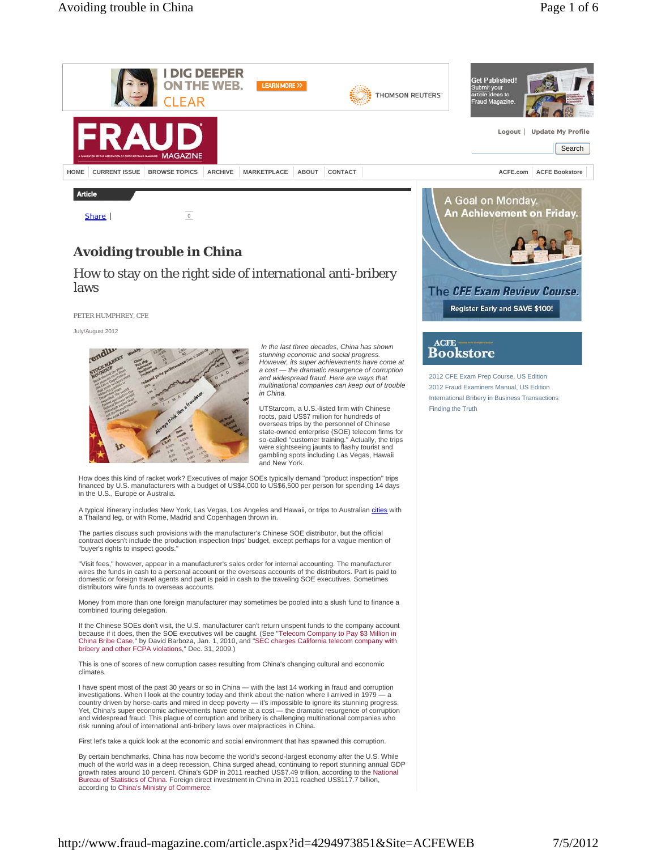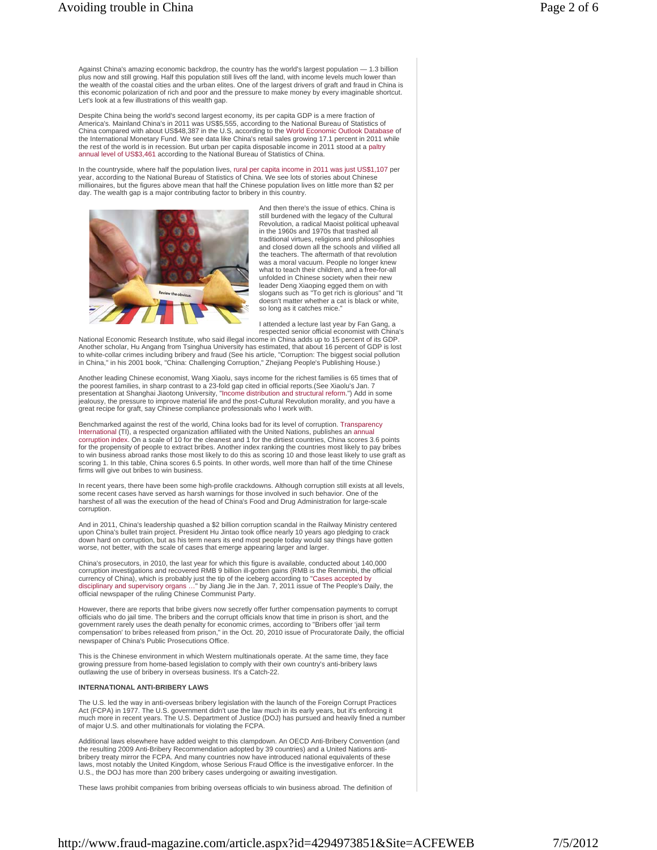Against China's amazing economic backdrop, the country has the world's largest population — 1.3 billion plus now and still growing. Half this population still lives off the land, with income levels much lower than the wealth of the coastal cities and the urban elites. One of the largest drivers of graft and fraud in China is this economic polarization of rich and poor and the pressure to make money by every imaginable shortcut. Let's look at a few illustrations of this wealth gap.

Despite China being the world's second largest economy, its per capita GDP is a mere fraction of America's. Mainland China's in 2011 was US\$5,555, according to the National Bureau of Statistics of China compared with about US\$48,387 in the U.S, according to the World Economic Outlook Database of the International Monetary Fund. We see data like China's retail sales growing 17.1 percent in 2011 while the rest of the world is in recession. But urban per capita disposable income in 2011 stood at a paltry annual level of US\$3,461 according to the National Bureau of Statistics of China.

In the countryside, where half the population lives, rural per capita income in 2011 was just US\$1,107 per year, according to the National Bureau of Statistics of China. We see lots of stories about Chinese millionaires, but the figures above mean that half the Chinese population lives on little more than \$2 per day. The wealth gap is a major contributing factor to bribery in this country.



And then there's the issue of ethics. China is still burdened with the legacy of the Cultural Revolution, a radical Maoist political upheaval in the 1960s and 1970s that trashed all traditional virtues, religions and philosophies and closed down all the schools and vilified all the teachers. The aftermath of that revolution was a moral vacuum. People no longer knew what to teach their children, and a free-for-all unfolded in Chinese society when their new leader Deng Xiaoping egged them on with slogans such as "To get rich is glorious" and "It doesn't matter whether a cat is black or white, so long as it catches mice."

I attended a lecture last year by Fan Gang, a respected senior official economist with China's

National Economic Research Institute, who said illegal income in China adds up to 15 percent of its GDP. Another scholar, Hu Angang from Tsinghua University has estimated, that about 16 percent of GDP is lost to white-collar crimes including bribery and fraud (See his article, "Corruption: The biggest social pollution in China," in his 2001 book, "China: Challenging Corruption," Zhejiang People's Publishing House.)

Another leading Chinese economist, Wang Xiaolu, says income for the richest families is 65 times that of<br>the poorest families, in sharp contrast to a 23-fold gap cited in official reports.(See Xiaolu's Jan. 7 presentation at Shanghai Jiaotong University, "Income distribution and structural reform.") Add in some jealousy, the pressure to improve material life and the post-Cultural Revolution morality, and you have a great recipe for graft, say Chinese compliance professionals who I work with.

Benchmarked against the rest of the world, China looks bad for its level of corruption. Transparency International (TI), a respected organization affiliated with the United Nations, publishes an annual corruption index. On a scale of 10 for the cleanest and 1 for the dirtiest countries, China scores 3.6 points for the propensity of people to extract bribes. Another index ranking the countries most likely to pay bribes to win business abroad ranks those most likely to do this as scoring 10 and those least likely to use graft as scoring 1. In this table, China scores 6.5 points. In other words, well more than half of the time Chinese firms will give out bribes to win business.

In recent years, there have been some high-profile crackdowns. Although corruption still exists at all levels,<br>some recent cases have served as harsh warnings for those involved in such behavior. One of the harshest of all was the execution of the head of China's Food and Drug Administration for large-scale corruption.

And in 2011, China's leadership quashed a \$2 billion corruption scandal in the Railway Ministry centered upon China's bullet train project. President Hu Jintao took office nearly 10 years ago pledging to crack down hard on corruption, but as his term nears its end most people today would say things have gotten worse, not better, with the scale of cases that emerge appearing larger and larger.

China's prosecutors, in 2010, the last year for which this figure is available, conducted about 140,000 corruption investigations and recovered RMB 9 billion ill-gotten gains (RMB is the Renminbi, the official<br>currency of China), which is probably just the tip of the iceberg according to "Cases accepted by<br>disciplinary and s official newspaper of the ruling Chinese Communist Party.

However, there are reports that bribe givers now secretly offer further compensation payments to corrupt officials who do jail time. The bribers and the corrupt officials know that time in prison is short, and the government rarely uses the death penalty for economic crimes, according to "Bribers offer 'jail term compensation' to bribes released from prison," in the Oct. 20, 2010 issue of Procuratorate Daily, the official newspaper of China's Public Prosecutions Office.

This is the Chinese environment in which Western multinationals operate. At the same time, they face growing pressure from home-based legislation to comply with their own country's anti-bribery laws outlawing the use of bribery in overseas business. It's a Catch-22.

#### **INTERNATIONAL ANTI-BRIBERY LAWS**

The U.S. led the way in anti-overseas bribery legislation with the launch of the Foreign Corrupt Practices Act (FCPA) in 1977. The U.S. government didn't use the law much in its early years, but it's enforcing it much more in recent years. The U.S. Department of Justice (DOJ) has pursued and heavily fined a number of major U.S. and other multinationals for violating the FCPA.

Additional laws elsewhere have added weight to this clampdown. An OECD Anti-Bribery Convention (and the resulting 2009 Anti-Bribery Recommendation adopted by 39 countries) and a United Nations anti-bribery treaty mirror the FCPA. And many countries now have introduced national equivalents of these laws, most notably the United Kingdom, whose Serious Fraud Office is the investigative enforcer. In the U.S., the DOJ has more than 200 bribery cases undergoing or awaiting investigation.

These laws prohibit companies from bribing overseas officials to win business abroad. The definition of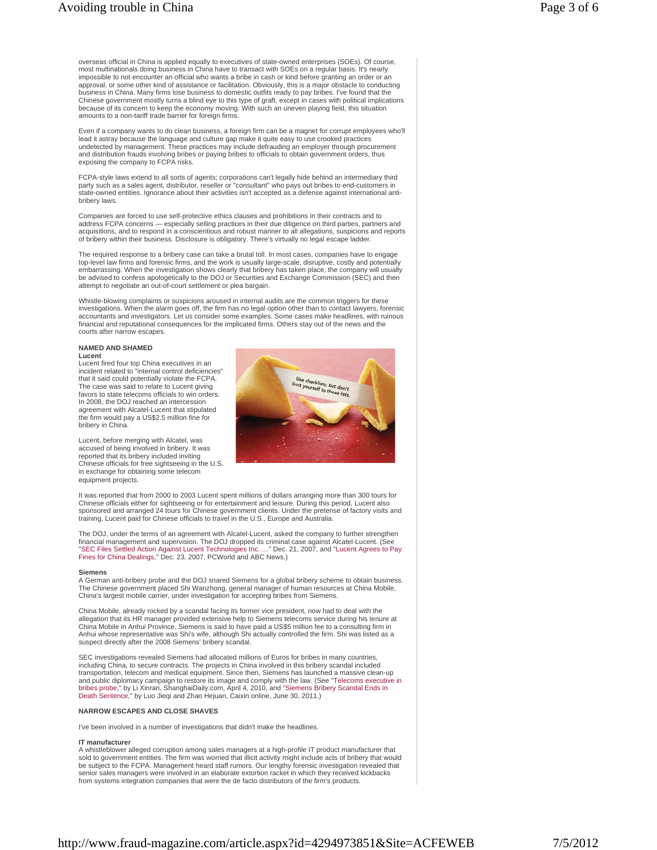overseas official in China is applied equally to executives of state-owned enterprises (SOEs). Of course, most multinationals doing business in China have to transact with SOEs on a regular basis. It's nearly impossible to not encounter an official who wants a bribe in cash or kind before granting an order or an approval, or some other kind of assistance or facilitation. Obviously, this is a major obstacle to conducting business in China. Many firms lose business to domestic outfits ready to pay bribes. I've found that the Chinese government mostly turns a blind eye to this type of graft, except in cases with political implications<br>because of its concern to keep the economy moving. With such an uneven playing field, this situation amounts to a non-tariff trade barrier for foreign firms

Even if a company wants to do clean business, a foreign firm can be a magnet for corrupt employees who'll lead it astray because the language and culture gap make it quite easy to use crooked practices undetected by management. These practices may include defrauding an employer through procurement and distribution frauds involving bribes or paying bribes to officials to obtain government orders, thus exposing the company to FCPA risks.

FCPA-style laws extend to all sorts of agents; corporations can't legally hide behind an intermediary third party such as a sales agent, distributor, reseller or "consultant" who pays out bribes to end-customers in state-owned entities. Ignorance about their activities isn't accepted as a defense against international antibribery laws.

Companies are forced to use self-protective ethics clauses and prohibitions in their contracts and to address FCPA concerns — especially selling practices in their due diligence on third parties, partners and acquisitions, and to respond in a conscientious and robust manner to all allegations, suspicions and reports of bribery within their business. Disclosure is obligatory. There's virtually no legal escape ladder.

The required response to a bribery case can take a brutal toll. In most cases, companies have to engage top-level law firms and forensic firms, and the work is usually large-scale, disruptive, costly and potentially embarrassing. When the investigation shows clearly that bribery has taken place, the company will usually be advised to confess apologetically to the DOJ or Securities and Exchange Commission (SEC) and then attempt to negotiate an out-of-court settlement or plea bargain.

Whistle-blowing complaints or suspicions aroused in internal audits are the common triggers for these investigations. When the alarm goes off, the firm has no legal option other than to contact lawyers, forensic accountants and investigators. Let us consider some examples. Some cases make headlines, with ruinous financial and reputational consequences for the implicated firms. Others stay out of the news and the courts after narrow escapes.

# **NAMED AND SHAMED**

#### **Lucent**

Lucent fired four top China executives in an incident related to "internal control deficiencies" that it said could potentially violate the FCPA. The case was said to relate to Lucent giving favors to state telecoms officials to win orders. In 2008, the DOJ reached an intercession agreement with Alcatel-Lucent that stipulated the firm would pay a US\$2.5 million fine for bribery in China.

Lucent, before merging with Alcatel, was accused of being involved in bribery. It was reported that its bribery included inviting Chinese officials for free sightseeing in the U.S. in exchange for obtaining some telecom equipment projects.



It was reported that from 2000 to 2003 Lucent spent millions of dollars arranging more than 300 tours for Chinese officials either for sightseeing or for entertainment and leisure. During this period, Lucent also<br>sponsored and arranged 24 tours for Chinese government clients. Under the pretense of factory visits and<br>training,

The DOJ, under the terms of an agreement with Alcatel-Lucent, asked the company to further strengthen<br>financial management and supervision. The DOJ dropped its criminal case against Alcatel-Lucent. (See<br>"SEC Files Settled

#### **Siemens**

A German anti-bribery probe and the DOJ snared Siemens for a global bribery scheme to obtain business. The Chinese government placed Shi Wanzhong, general manager of human resources at China Mobile,<br>China's largest mobile carrier, under investigation for accepting bribes from Siemens.

China Mobile, already rocked by a scandal facing its former vice president, now had to deal with the allegation that its HR manager provided extensive help to Siemens telecoms service during his tenure at China Mobile in Anhui Province. Siemens is said to have paid a US\$5 million fee to a consulting firm in Anhui whose representative was Shi's wife, although Shi actually controlled the firm. Shi was listed as a suspect directly after the 2008 Siemens' bribery scandal.

SEC investigations revealed Siemens had allocated millions of Euros for bribes in many countries, including China, to secure contracts. The projects in China involved in this bribery scandal included transportation, telecom and medical equipment. Since then, Siemens has launched a massive clean-up and public diplomacy campaign to restore its image and comply with the law. (See "Telecoms executive in bribes probe," by Li Xinran, ShanghaiDaily.com, April 4, 2010, and "Siemens Bribery Scandal Ends in Death Sentence," by Luo Jieqi and Zhao Hejuan, Caixin online, June 30, 2011.)

#### **NARROW ESCAPES AND CLOSE SHAVES**

I've been involved in a number of investigations that didn't make the headlines.

# **IT manufacturer**

A whistleblower alleged corruption among sales managers at a high-profile IT product manufacturer that sold to government entities. The firm was worried that illicit activity might include acts of bribery that would be subject to the FCPA. Management heard staff rumors. Our lengthy forensic investigation revealed that senior sales managers were involved in an elaborate extortion racket in which they received kickbacks from systems integration companies that were the de facto distributors of the firm's products.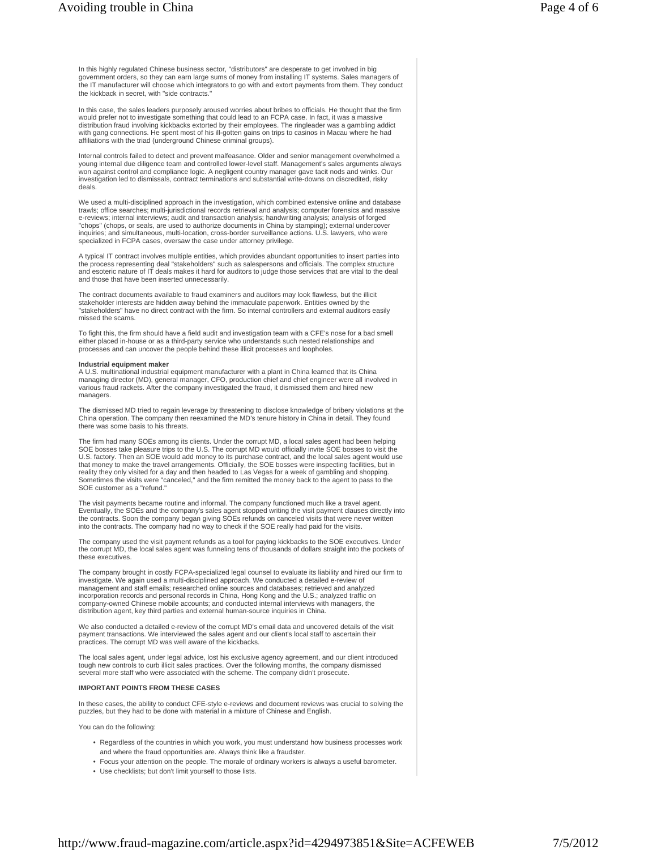the kickback in secret, with "side contracts."

In this case, the sales leaders purposely aroused worries about bribes to officials. He thought that the firm would prefer not to investigate something that could lead to an FCPA case. In fact, it was a massive distribution fraud involving kickbacks extorted by their employees. The ringleader was a gambling addict with gang connections. He spent most of his ill-gotten gains on trips to casinos in Macau where he had affiliations with the triad (underground Chinese criminal groups).

government orders, so they can earn large sums of money from installing IT systems. Sales managers of the IT manufacturer will choose which integrators to go with and extort payments from them. They conduct

Internal controls failed to detect and prevent malfeasance. Older and senior management overwhelmed a young internal due diligence team and controlled lower-level staff. Management's sales arguments always won against control and compliance logic. A negligent country manager gave tacit nods and winks. Our investigation led to dismissals, contract terminations and substantial write-downs on discredited, risky deals.

We used a multi-disciplined approach in the investigation, which combined extensive online and database trawls; office searches; multi-jurisdictional records retrieval and analysis; computer forensics and massive e-reviews; internal interviews; audit and transaction analysis; handwriting analysis; analysis of forged "chops" (chops, or seals, are used to authorize documents in China by stamping); external undercover inquiries; and simultaneous, multi-location, cross-border surveillance actions. U.S. lawyers, who were specialized in FCPA cases, oversaw the case under attorney privilege.

A typical IT contract involves multiple entities, which provides abundant opportunities to insert parties into the process representing deal "stakeholders" such as salespersons and officials. The complex structure and esoteric nature of IT deals makes it hard for auditors to judge those services that are vital to the deal and those that have been inserted unnecessarily.

The contract documents available to fraud examiners and auditors may look flawless, but the illicit stakeholder interests are hidden away behind the immaculate paperwork. Entities owned by the "stakeholders" have no direct contract with the firm. So internal controllers and external auditors easily missed the scams.

To fight this, the firm should have a field audit and investigation team with a CFE's nose for a bad smell either placed in-house or as a third-party service who understands such nested relationships and processes and can uncover the people behind these illicit processes and loopholes.

**Industrial equipment maker**<br>A U.S. multinational industrial equipment manufacturer with a plant in China learned that its China managing director (MD), general manager, CFO, production chief and chief engineer were all involved in various fraud rackets. After the company investigated the fraud, it dismissed them and hired new managers

The dismissed MD tried to regain leverage by threatening to disclose knowledge of bribery violations at the China operation. The company then reexamined the MD's tenure history in China in detail. They found there was some basis to his threats.

The firm had many SOEs among its clients. Under the corrupt MD, a local sales agent had been helping SOE bosses take pleasure trips to the U.S. The corrupt MD would officially invite SOE bosses to visit the U.S. factory. Then an SOE would add money to its purchase contract, and the local sales agent would use that money to make the travel arrangements. Officially, the SOE bosses were inspecting facilities, but in reality they only visited for a day and then headed to Las Vegas for a week of gambling and shopping. Sometimes the visits were "canceled," and the firm remitted the money back to the agent to pass to the SOE customer as a "refund."

The visit payments became routine and informal. The company functioned much like a travel agent. Eventually, the SOEs and the company's sales agent stopped writing the visit payment clauses directly into the contracts. Soon the company began giving SOEs refunds on canceled visits that were never written into the contracts. The company had no way to check if the SOE really had paid for the visits.

The company used the visit payment refunds as a tool for paying kickbacks to the SOE executives. Under the corrupt MD, the local sales agent was funneling tens of thousands of dollars straight into the pockets of these executives.

The company brought in costly FCPA-specialized legal counsel to evaluate its liability and hired our firm to investigate. We again used a multi-disciplined approach. We conducted a detailed e-review of management and staff emails; researched online sources and databases; retrieved and analyzed incorporation records and personal records in China, Hong Kong and the U.S.; analyzed traffic on company-owned Chinese mobile accounts; and conducted internal interviews with managers, the distribution agent, key third parties and external human-source inquiries in China.

We also conducted a detailed e-review of the corrupt MD's email data and uncovered details of the visit payment transactions. We interviewed the sales agent and our client's local staff to ascertain their practices. The corrupt MD was well aware of the kickbacks.

The local sales agent, under legal advice, lost his exclusive agency agreement, and our client introduced tough new controls to curb illicit sales practices. Over the following months, the company dismissed several more staff who were associated with the scheme. The company didn't prosecute.

#### **IMPORTANT POINTS FROM THESE CASES**

In these cases, the ability to conduct CFE-style e-reviews and document reviews was crucial to solving the puzzles, but they had to be done with material in a mixture of Chinese and English.

You can do the following:

- Regardless of the countries in which you work, you must understand how business processes work and where the fraud opportunities are. Always think like a fraudster.
- Focus your attention on the people. The morale of ordinary workers is always a useful barometer.
- Use checklists; but don't limit yourself to those lists.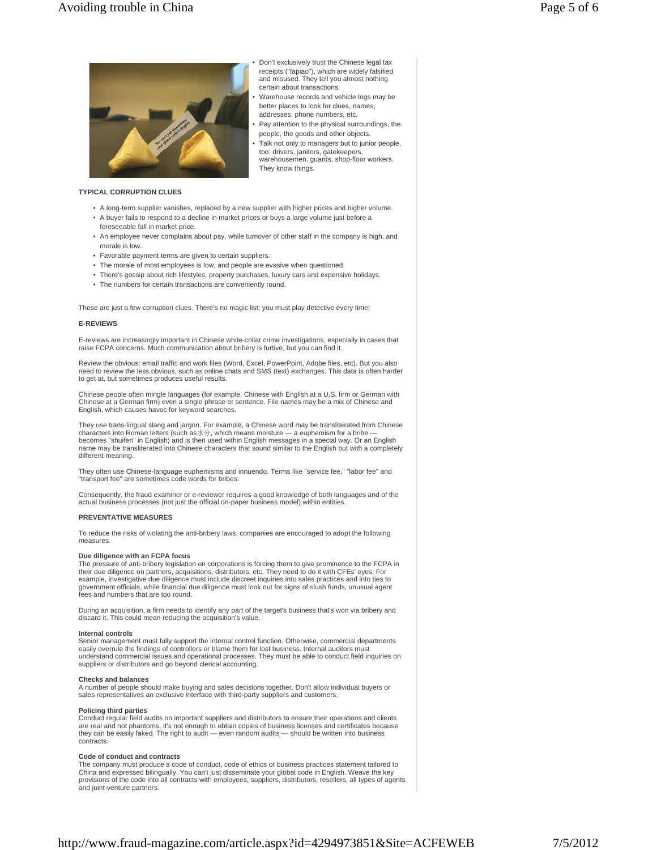

# Don't exclusively trust the Chinese legal tax receipts ("fapiao"), which are widely falsified and misused. They tell you almost nothing certain about transactions.

- Warehouse records and vehicle logs may be better places to look for clues, names, addresses, phone numbers, etc. •
- Pay attention to the physical surroundings, the people, the goods and other objects. •
- Talk not only to managers but to junior people, too: drivers, janitors, gatekeepers, warehousemen, guards, shop-floor workers. They know things.

## **TYPICAL CORRUPTION CLUES**

• A long-term supplier vanishes, replaced by a new supplier with higher prices and higher volume.

•

- A buyer fails to respond to a decline in market prices or buys a large volume just before a foreseeable fall in market price.
- An employee never complains about pay, while turnover of other staff in the company is high, and morale is low.
- Favorable payment terms are given to certain suppliers.
- The morale of most employees is low, and people are evasive when questioned.
- There's gossip about rich lifestyles, property purchases, luxury cars and expensive holidays.
- The numbers for certain transactions are conveniently round.

These are just a few corruption clues. There's no magic list; you must play detective every time!

# **E-REVIEWS**

E-reviews are increasingly important in Chinese white-collar crime investigations, especially in cases that raise FCPA concerns. Much communication about bribery is furtive, but you can find it.

Review the obvious: email traffic and work files (Word, Excel, PowerPoint, Adobe files, etc). But you also need to review the less obvious, such as online chats and SMS (text) exchanges. This data is often harder to get at, but sometimes produces useful results.

Chinese people often mingle languages (for example, Chinese with English at a U.S. firm or German with Chinese at a German firm) even a single phrase or sentence. File names may be a mix of Chinese and English, which causes havoc for keyword searches.

They use trans-lingual slang and jargon. For example, a Chinese word may be transliterated from Chinese characters into Roman letters (such as水分, which means moisture — a euphemism for a bribe becomes "shuifen" in English) and is then used within English messages in a special way. Or an English name may be transliterated into Chinese characters that sound similar to the English but with a completely different meaning.

They often use Chinese-language euphemisms and innuendo. Terms like "service fee," "labor fee" and "transport fee" are sometimes code words for bribes.

Consequently, the fraud examiner or e-reviewer requires a good knowledge of both languages and of the actual business processes (not just the official on-paper business model) within entities.

#### **PREVENTATIVE MEASURES**

To reduce the risks of violating the anti-bribery laws, companies are encouraged to adopt the following measures.

#### **Due diligence with an FCPA focus**

The pressure of anti-bribery legislation on corporations is forcing them to give prominence to the FCPA in their due diligence on partners, acquisitions, distributors, etc. They need to do it with CFEs' eyes. For example, investigative due diligence must include discreet inquiries into sales practices and into ties to government officials, while financial due diligence must look out for signs of slush funds, unusual agent fees and numbers that are too round.

During an acquisition, a firm needs to identify any part of the target's business that's won via bribery and discard it. This could mean reducing the acquisition's value.

#### **Internal controls**

Senior management must fully support the internal control function. Otherwise, commercial departments easily overrule the findings of controllers or blame them for lost business. Internal auditors must easily overrule the findings of controllers or blame them for lost business. Internal auditors must understand commercial issues and operational processes. They must be able to conduct field inquiries on suppliers or distributors and go beyond clerical accounting.

#### **Checks and balances**

A number of people should make buying and sales decisions together. Don't allow individual buyers or sales representatives an exclusive interface with third-party suppliers and customers.

#### **Policing third parties**

Conduct regular field audits on important suppliers and distributors to ensure their operations and clients are real and not phantoms. It's not enough to obtain copies of business licenses and certificates because they can be easily faked. The right to audit — even random audits — should be written into business contracts.

## **Code of conduct and contracts**

The company must produce a code of conduct, code of ethics or business practices statement tailored to China and expressed bilingually. You can't just disseminate your global code in English. Weave the key provisions of the code into all contracts with employees, suppliers, distributors, resellers, all types of agents and joint-venture partners.